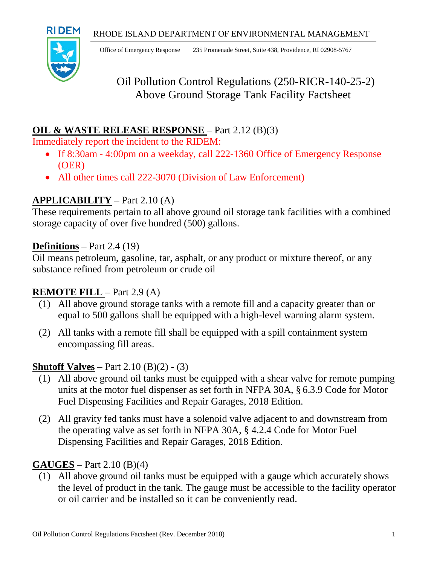

Office of Emergency Response 235 Promenade Street, Suite 438, Providence, RI 02908-5767

# Oil Pollution Control Regulations (250-RICR-140-25-2) Above Ground Storage Tank Facility Factsheet

### **OIL & WASTE RELEASE RESPONSE** – Part 2.12 (B)(3)

Immediately report the incident to the RIDEM:

- If 8:30am 4:00pm on a weekday, call 222-1360 Office of Emergency Response (OER)
- All other times call 222-3070 (Division of Law Enforcement)

# **APPLICABILITY** – Part 2.10 (A)

These requirements pertain to all above ground oil storage tank facilities with a combined storage capacity of over five hundred (500) gallons.

### **Definitions** – Part 2.4 (19)

Oil means petroleum, gasoline, tar, asphalt, or any product or mixture thereof, or any substance refined from petroleum or crude oil

### **REMOTE FILL** – Part 2.9 (A)

- (1) All above ground storage tanks with a remote fill and a capacity greater than or equal to 500 gallons shall be equipped with a high-level warning alarm system.
- (2) All tanks with a remote fill shall be equipped with a spill containment system encompassing fill areas.

### **Shutoff Valves** – Part 2.10 (B)(2) - (3)

- (1) All above ground oil tanks must be equipped with a shear valve for remote pumping units at the motor fuel dispenser as set forth in NFPA 30A, § 6.3.9 Code for Motor Fuel Dispensing Facilities and Repair Garages, 2018 Edition.
- (2) All gravity fed tanks must have a solenoid valve adjacent to and downstream from the operating valve as set forth in NFPA 30A, § 4.2.4 Code for Motor Fuel Dispensing Facilities and Repair Garages, 2018 Edition.

### **GAUGES** – Part 2.10 (B)(4)

(1) All above ground oil tanks must be equipped with a gauge which accurately shows the level of product in the tank. The gauge must be accessible to the facility operator or oil carrier and be installed so it can be conveniently read.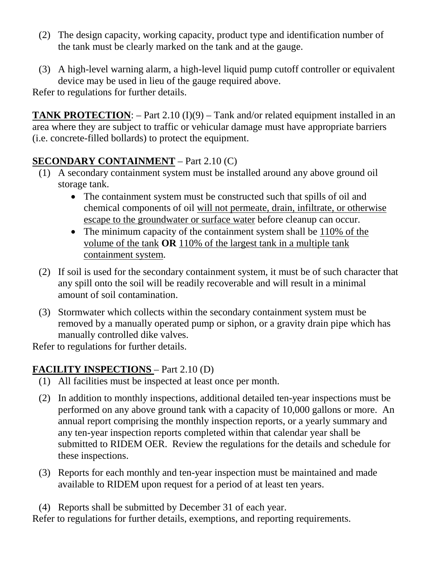- (2) The design capacity, working capacity, product type and identification number of the tank must be clearly marked on the tank and at the gauge.
- (3) A high-level warning alarm, a high-level liquid pump cutoff controller or equivalent device may be used in lieu of the gauge required above.

Refer to regulations for further details.

**TANK PROTECTION:** – Part 2.10 (I)(9) – Tank and/or related equipment installed in an area where they are subject to traffic or vehicular damage must have appropriate barriers (i.e. concrete-filled bollards) to protect the equipment.

# **SECONDARY CONTAINMENT** – Part 2.10 (C)

- (1) A secondary containment system must be installed around any above ground oil storage tank.
	- The containment system must be constructed such that spills of oil and chemical components of oil will not permeate, drain, infiltrate, or otherwise escape to the groundwater or surface water before cleanup can occur.
	- The minimum capacity of the containment system shall be 110% of the volume of the tank **OR** 110% of the largest tank in a multiple tank containment system.
- (2) If soil is used for the secondary containment system, it must be of such character that any spill onto the soil will be readily recoverable and will result in a minimal amount of soil contamination.
- (3) Stormwater which collects within the secondary containment system must be removed by a manually operated pump or siphon, or a gravity drain pipe which has manually controlled dike valves.

Refer to regulations for further details.

# **FACILITY INSPECTIONS** – Part 2.10 (D)

- (1) All facilities must be inspected at least once per month.
- (2) In addition to monthly inspections, additional detailed ten-year inspections must be performed on any above ground tank with a capacity of 10,000 gallons or more. An annual report comprising the monthly inspection reports, or a yearly summary and any ten-year inspection reports completed within that calendar year shall be submitted to RIDEM OER. Review the regulations for the details and schedule for these inspections.
- (3) Reports for each monthly and ten-year inspection must be maintained and made available to RIDEM upon request for a period of at least ten years.
- (4) Reports shall be submitted by December 31 of each year.

Refer to regulations for further details, exemptions, and reporting requirements.